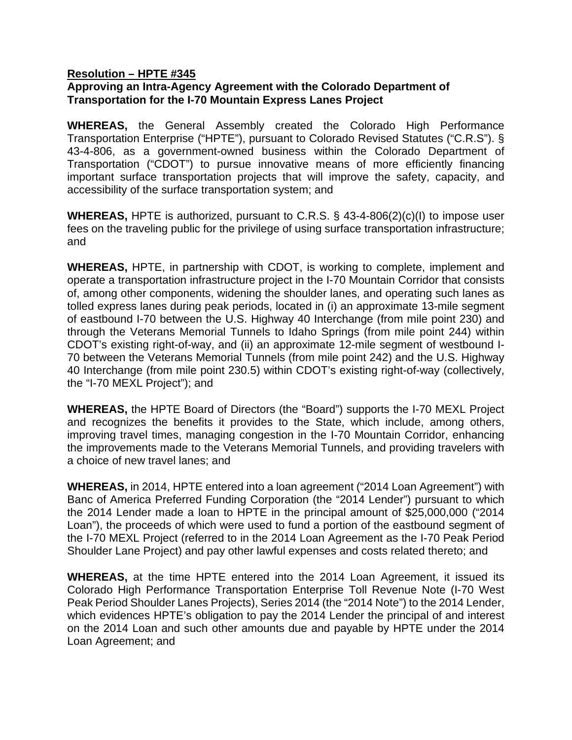## **Resolution – HPTE #345 Approving an Intra-Agency Agreement with the Colorado Department of Transportation for the I-70 Mountain Express Lanes Project**

**WHEREAS,** the General Assembly created the Colorado High Performance Transportation Enterprise ("HPTE"), pursuant to Colorado Revised Statutes ("C.R.S"). § 43-4-806, as a government-owned business within the Colorado Department of Transportation ("CDOT") to pursue innovative means of more efficiently financing important surface transportation projects that will improve the safety, capacity, and accessibility of the surface transportation system; and

**WHEREAS,** HPTE is authorized, pursuant to C.R.S. § 43-4-806(2)(c)(I) to impose user fees on the traveling public for the privilege of using surface transportation infrastructure; and

**WHEREAS,** HPTE, in partnership with CDOT, is working to complete, implement and operate a transportation infrastructure project in the I-70 Mountain Corridor that consists of, among other components, widening the shoulder lanes, and operating such lanes as tolled express lanes during peak periods, located in (i) an approximate 13-mile segment of eastbound I-70 between the U.S. Highway 40 Interchange (from mile point 230) and through the Veterans Memorial Tunnels to Idaho Springs (from mile point 244) within CDOT's existing right-of-way, and (ii) an approximate 12-mile segment of westbound I-70 between the Veterans Memorial Tunnels (from mile point 242) and the U.S. Highway 40 Interchange (from mile point 230.5) within CDOT's existing right-of-way (collectively, the "I-70 MEXL Project"); and

**WHEREAS,** the HPTE Board of Directors (the "Board") supports the I-70 MEXL Project and recognizes the benefits it provides to the State, which include, among others, improving travel times, managing congestion in the I-70 Mountain Corridor, enhancing the improvements made to the Veterans Memorial Tunnels, and providing travelers with a choice of new travel lanes; and

**WHEREAS,** in 2014, HPTE entered into a loan agreement ("2014 Loan Agreement") with Banc of America Preferred Funding Corporation (the "2014 Lender") pursuant to which the 2014 Lender made a loan to HPTE in the principal amount of \$25,000,000 ("2014 Loan"), the proceeds of which were used to fund a portion of the eastbound segment of the I-70 MEXL Project (referred to in the 2014 Loan Agreement as the I-70 Peak Period Shoulder Lane Project) and pay other lawful expenses and costs related thereto; and

**WHEREAS,** at the time HPTE entered into the 2014 Loan Agreement, it issued its Colorado High Performance Transportation Enterprise Toll Revenue Note (I-70 West Peak Period Shoulder Lanes Projects), Series 2014 (the "2014 Note") to the 2014 Lender, which evidences HPTE's obligation to pay the 2014 Lender the principal of and interest on the 2014 Loan and such other amounts due and payable by HPTE under the 2014 Loan Agreement; and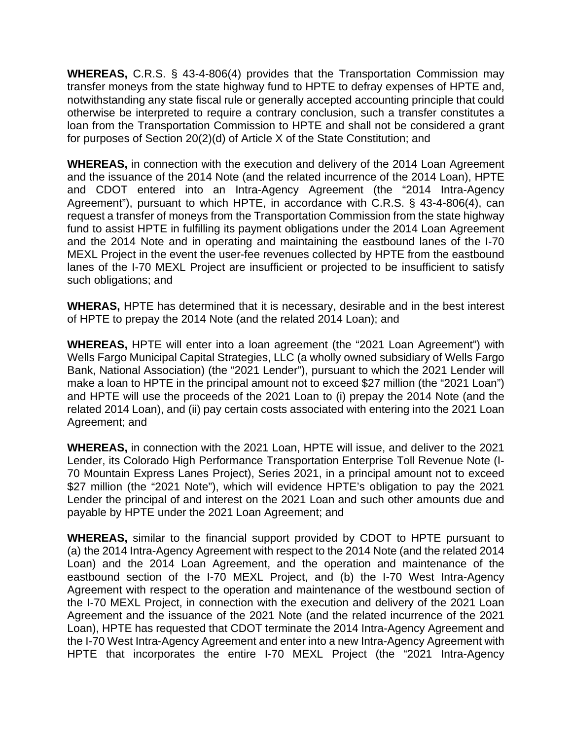**WHEREAS,** C.R.S. § 43-4-806(4) provides that the Transportation Commission may transfer moneys from the state highway fund to HPTE to defray expenses of HPTE and, notwithstanding any state fiscal rule or generally accepted accounting principle that could otherwise be interpreted to require a contrary conclusion, such a transfer constitutes a loan from the Transportation Commission to HPTE and shall not be considered a grant for purposes of Section 20(2)(d) of Article X of the State Constitution; and

**WHEREAS,** in connection with the execution and delivery of the 2014 Loan Agreement and the issuance of the 2014 Note (and the related incurrence of the 2014 Loan), HPTE and CDOT entered into an Intra-Agency Agreement (the "2014 Intra-Agency Agreement"), pursuant to which HPTE, in accordance with C.R.S. § 43-4-806(4), can request a transfer of moneys from the Transportation Commission from the state highway fund to assist HPTE in fulfilling its payment obligations under the 2014 Loan Agreement and the 2014 Note and in operating and maintaining the eastbound lanes of the I-70 MEXL Project in the event the user-fee revenues collected by HPTE from the eastbound lanes of the I-70 MEXL Project are insufficient or projected to be insufficient to satisfy such obligations; and

**WHERAS,** HPTE has determined that it is necessary, desirable and in the best interest of HPTE to prepay the 2014 Note (and the related 2014 Loan); and

**WHEREAS,** HPTE will enter into a loan agreement (the "2021 Loan Agreement") with Wells Fargo Municipal Capital Strategies, LLC (a wholly owned subsidiary of Wells Fargo Bank, National Association) (the "2021 Lender"), pursuant to which the 2021 Lender will make a loan to HPTE in the principal amount not to exceed \$27 million (the "2021 Loan") and HPTE will use the proceeds of the 2021 Loan to (i) prepay the 2014 Note (and the related 2014 Loan), and (ii) pay certain costs associated with entering into the 2021 Loan Agreement; and

**WHEREAS,** in connection with the 2021 Loan, HPTE will issue, and deliver to the 2021 Lender, its Colorado High Performance Transportation Enterprise Toll Revenue Note (I-70 Mountain Express Lanes Project), Series 2021, in a principal amount not to exceed \$27 million (the "2021 Note"), which will evidence HPTE's obligation to pay the 2021 Lender the principal of and interest on the 2021 Loan and such other amounts due and payable by HPTE under the 2021 Loan Agreement; and

**WHEREAS,** similar to the financial support provided by CDOT to HPTE pursuant to (a) the 2014 Intra-Agency Agreement with respect to the 2014 Note (and the related 2014 Loan) and the 2014 Loan Agreement, and the operation and maintenance of the eastbound section of the I-70 MEXL Project, and (b) the I-70 West Intra-Agency Agreement with respect to the operation and maintenance of the westbound section of the I-70 MEXL Project, in connection with the execution and delivery of the 2021 Loan Agreement and the issuance of the 2021 Note (and the related incurrence of the 2021 Loan), HPTE has requested that CDOT terminate the 2014 Intra-Agency Agreement and the I-70 West Intra-Agency Agreement and enter into a new Intra-Agency Agreement with HPTE that incorporates the entire I-70 MEXL Project (the "2021 Intra-Agency